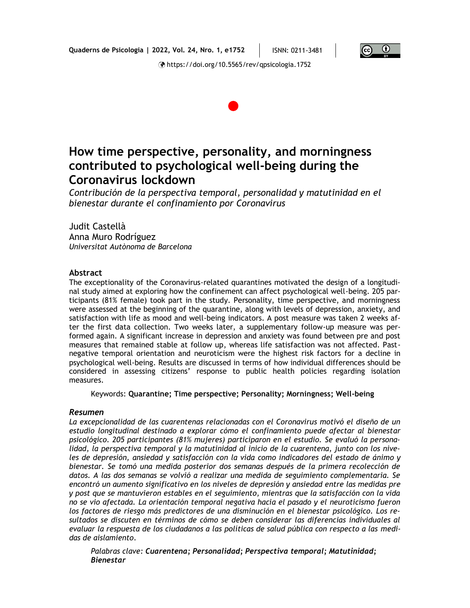**Quaderns de Psicologia | 2022, Vol. 24, Nro. 1, e1752** ISNN: 0211-3481



https://doi.org/10.5565/rev/qpsicologia.1752



# **How time perspective, personality, and morningness contributed to psychological well-being during the Coronavirus lockdown**

*Contribución de la perspectiva temporal, personalidad y matutinidad en el bienestar durante el confinamiento por Coronavirus*

Judit Castellà Anna Muro Rodríguez *Universitat Autònoma de Barcelona*

#### **Abstract**

The exceptionality of the Coronavirus-related quarantines motivated the design of a longitudinal study aimed at exploring how the confinement can affect psychological well-being. 205 participants (81% female) took part in the study. Personality, time perspective, and morningness were assessed at the beginning of the quarantine, along with levels of depression, anxiety, and satisfaction with life as mood and well-being indicators. A post measure was taken 2 weeks after the first data collection. Two weeks later, a supplementary follow-up measure was performed again. A significant increase in depression and anxiety was found between pre and post measures that remained stable at follow up, whereas life satisfaction was not affected. Pastnegative temporal orientation and neuroticism were the highest risk factors for a decline in psychological well-being. Results are discussed in terms of how individual differences should be considered in assessing citizens' response to public health policies regarding isolation measures.

Keywords: **Quarantine; Time perspective; Personality; Morningness; Well-being**

#### *Resumen*

*La excepcionalidad de las cuarentenas relacionadas con el Coronavirus motivó el diseño de un estudio longitudinal destinado a explorar cómo el confinamiento puede afectar al bienestar psicológico. 205 participantes (81% mujeres) participaron en el estudio. Se evaluó la personalidad, la perspectiva temporal y la matutinidad al inicio de la cuarentena, junto con los niveles de depresión, ansiedad y satisfacción con la vida como indicadores del estado de ánimo y bienestar. Se tomó una medida posterior dos semanas después de la primera recolección de datos. A las dos semanas se volvió a realizar una medida de seguimiento complementaria. Se encontró un aumento significativo en los niveles de depresión y ansiedad entre las medidas pre y post que se mantuvieron estables en el seguimiento, mientras que la satisfacción con la vida no se vio afectada. La orientación temporal negativa hacia el pasado y el neuroticismo fueron los factores de riesgo más predictores de una disminución en el bienestar psicológico. Los resultados se discuten en términos de cómo se deben considerar las diferencias individuales al evaluar la respuesta de los ciudadanos a las políticas de salud pública con respecto a las medidas de aislamiento.*

*Palabras clave: Cuarentena; Personalidad; Perspectiva temporal; Matutinidad; Bienestar*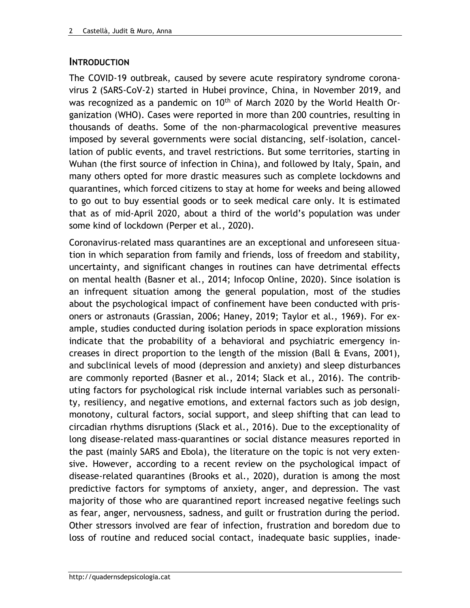## **INTRODUCTION**

The COVID-19 outbreak, caused by severe acute respiratory syndrome coronavirus 2 (SARS-CoV-2) started in Hubei province, China, in November 2019, and was recognized as a pandemic on  $10<sup>th</sup>$  of March 2020 by the World Health Organization (WHO). Cases were reported in more than 200 countries, resulting in thousands of deaths. Some of the non-pharmacological preventive measures imposed by several governments were social distancing, self-isolation, cancellation of public events, and travel restrictions. But some territories, starting in Wuhan (the first source of infection in China), and followed by Italy, Spain, and many others opted for more drastic measures such as complete lockdowns and quarantines, which forced citizens to stay at home for weeks and being allowed to go out to buy essential goods or to seek medical care only. It is estimated that as of mid-April 2020, about a third of the world's population was under some kind of lockdown (Perper et al., 2020).

Coronavirus-related mass quarantines are an exceptional and unforeseen situation in which separation from family and friends, loss of freedom and stability, uncertainty, and significant changes in routines can have detrimental effects on mental health (Basner et al., 2014; Infocop Online, 2020). Since isolation is an infrequent situation among the general population, most of the studies about the psychological impact of confinement have been conducted with prisoners or astronauts (Grassian, 2006; Haney, 2019; Taylor et al., 1969). For example, studies conducted during isolation periods in space exploration missions indicate that the probability of a behavioral and psychiatric emergency increases in direct proportion to the length of the mission (Ball & Evans, 2001), and subclinical levels of mood (depression and anxiety) and sleep disturbances are commonly reported (Basner et al., 2014; Slack et al., 2016). The contributing factors for psychological risk include internal variables such as personality, resiliency, and negative emotions, and external factors such as job design, monotony, cultural factors, social support, and sleep shifting that can lead to circadian rhythms disruptions (Slack et al., 2016). Due to the exceptionality of long disease-related mass-quarantines or social distance measures reported in the past (mainly SARS and Ebola), the literature on the topic is not very extensive. However, according to a recent review on the psychological impact of disease-related quarantines (Brooks et al., 2020), duration is among the most predictive factors for symptoms of anxiety, anger, and depression. The vast majority of those who are quarantined report increased negative feelings such as fear, anger, nervousness, sadness, and guilt or frustration during the period. Other stressors involved are fear of infection, frustration and boredom due to loss of routine and reduced social contact, inadequate basic supplies, inade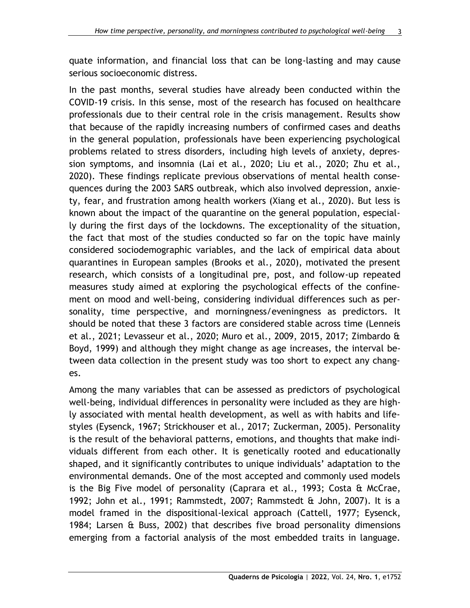quate information, and financial loss that can be long-lasting and may cause serious socioeconomic distress.

In the past months, several studies have already been conducted within the COVID-19 crisis. In this sense, most of the research has focused on healthcare professionals due to their central role in the crisis management. Results show that because of the rapidly increasing numbers of confirmed cases and deaths in the general population, professionals have been experiencing psychological problems related to stress disorders, including high levels of anxiety, depression symptoms, and insomnia (Lai et al., 2020; Liu et al., 2020; Zhu et al., 2020). These findings replicate previous observations of mental health consequences during the 2003 SARS outbreak, which also involved depression, anxiety, fear, and frustration among health workers (Xiang et al., 2020). But less is known about the impact of the quarantine on the general population, especially during the first days of the lockdowns. The exceptionality of the situation, the fact that most of the studies conducted so far on the topic have mainly considered sociodemographic variables, and the lack of empirical data about quarantines in European samples (Brooks et al., 2020), motivated the present research, which consists of a longitudinal pre, post, and follow-up repeated measures study aimed at exploring the psychological effects of the confinement on mood and well-being, considering individual differences such as personality, time perspective, and morningness/eveningness as predictors. It should be noted that these 3 factors are considered stable across time (Lenneis et al., 2021; Levasseur et al., 2020; Muro et al., 2009, 2015, 2017; Zimbardo & Boyd, 1999) and although they might change as age increases, the interval between data collection in the present study was too short to expect any changes.

Among the many variables that can be assessed as predictors of psychological well-being, individual differences in personality were included as they are highly associated with mental health development, as well as with habits and lifestyles (Eysenck, 1967; Strickhouser et al., 2017; Zuckerman, 2005). Personality is the result of the behavioral patterns, emotions, and thoughts that make individuals different from each other. It is genetically rooted and educationally shaped, and it significantly contributes to unique individuals' adaptation to the environmental demands. One of the most accepted and commonly used models is the Big Five model of personality (Caprara et al., 1993; Costa & McCrae, 1992; John et al., 1991; Rammstedt, 2007; Rammstedt & John, 2007). It is a model framed in the dispositional-lexical approach (Cattell, 1977; Eysenck, 1984; Larsen & Buss, 2002) that describes five broad personality dimensions emerging from a factorial analysis of the most embedded traits in language.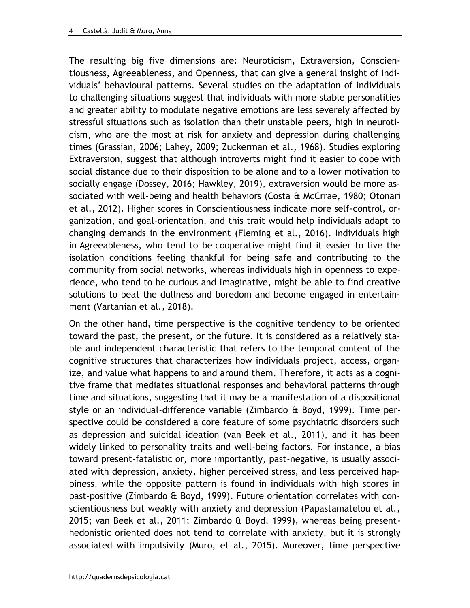The resulting big five dimensions are: Neuroticism, Extraversion, Conscientiousness, Agreeableness, and Openness, that can give a general insight of individuals' behavioural patterns. Several studies on the adaptation of individuals to challenging situations suggest that individuals with more stable personalities and greater ability to modulate negative emotions are less severely affected by stressful situations such as isolation than their unstable peers, high in neuroticism, who are the most at risk for anxiety and depression during challenging times (Grassian, 2006; Lahey, 2009; Zuckerman et al., 1968). Studies exploring Extraversion, suggest that although introverts might find it easier to cope with social distance due to their disposition to be alone and to a lower motivation to socially engage (Dossey, 2016; Hawkley, 2019), extraversion would be more associated with well-being and health behaviors (Costa & McCrrae, 1980; Otonari et al., 2012). Higher scores in Conscientiousness indicate more self-control, organization, and goal-orientation, and this trait would help individuals adapt to changing demands in the environment (Fleming et al., 2016). Individuals high in Agreeableness, who tend to be cooperative might find it easier to live the isolation conditions feeling thankful for being safe and contributing to the community from social networks, whereas individuals high in openness to experience, who tend to be curious and imaginative, might be able to find creative solutions to beat the dullness and boredom and become engaged in entertainment (Vartanian et al., 2018).

On the other hand, time perspective is the cognitive tendency to be oriented toward the past, the present, or the future. It is considered as a relatively stable and independent characteristic that refers to the temporal content of the cognitive structures that characterizes how individuals project, access, organize, and value what happens to and around them. Therefore, it acts as a cognitive frame that mediates situational responses and behavioral patterns through time and situations, suggesting that it may be a manifestation of a dispositional style or an individual-difference variable (Zimbardo & Boyd, 1999). Time perspective could be considered a core feature of some psychiatric disorders such as depression and suicidal ideation (van Beek et al., 2011), and it has been widely linked to personality traits and well-being factors. For instance, a bias toward present-fatalistic or, more importantly, past-negative, is usually associated with depression, anxiety, higher perceived stress, and less perceived happiness, while the opposite pattern is found in individuals with high scores in past-positive (Zimbardo & Boyd, 1999). Future orientation correlates with conscientiousness but weakly with anxiety and depression (Papastamatelou et al., 2015; van Beek et al., 2011; Zimbardo & Boyd, 1999), whereas being presenthedonistic oriented does not tend to correlate with anxiety, but it is strongly associated with impulsivity (Muro, et al., 2015). Moreover, time perspective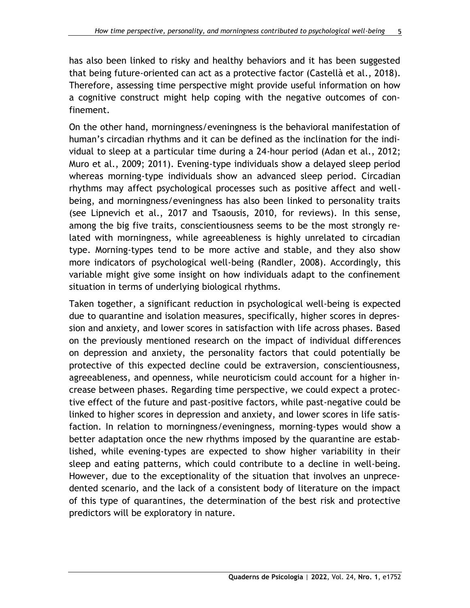has also been linked to risky and healthy behaviors and it has been suggested that being future-oriented can act as a protective factor (Castellà et al., 2018). Therefore, assessing time perspective might provide useful information on how a cognitive construct might help coping with the negative outcomes of confinement.

On the other hand, morningness/eveningness is the behavioral manifestation of human's circadian rhythms and it can be defined as the inclination for the individual to sleep at a particular time during a 24-hour period (Adan et al., 2012; Muro et al., 2009; 2011). Evening-type individuals show a delayed sleep period whereas morning-type individuals show an advanced sleep period. Circadian rhythms may affect psychological processes such as positive affect and wellbeing, and morningness/eveningness has also been linked to personality traits (see Lipnevich et al., 2017 and Tsaousis, 2010, for reviews). In this sense, among the big five traits, conscientiousness seems to be the most strongly related with morningness, while agreeableness is highly unrelated to circadian type. Morning-types tend to be more active and stable, and they also show more indicators of psychological well-being (Randler, 2008). Accordingly, this variable might give some insight on how individuals adapt to the confinement situation in terms of underlying biological rhythms.

Taken together, a significant reduction in psychological well-being is expected due to quarantine and isolation measures, specifically, higher scores in depression and anxiety, and lower scores in satisfaction with life across phases. Based on the previously mentioned research on the impact of individual differences on depression and anxiety, the personality factors that could potentially be protective of this expected decline could be extraversion, conscientiousness, agreeableness, and openness, while neuroticism could account for a higher increase between phases. Regarding time perspective, we could expect a protective effect of the future and past-positive factors, while past-negative could be linked to higher scores in depression and anxiety, and lower scores in life satisfaction. In relation to morningness/eveningness, morning-types would show a better adaptation once the new rhythms imposed by the quarantine are established, while evening-types are expected to show higher variability in their sleep and eating patterns, which could contribute to a decline in well-being. However, due to the exceptionality of the situation that involves an unprecedented scenario, and the lack of a consistent body of literature on the impact of this type of quarantines, the determination of the best risk and protective predictors will be exploratory in nature.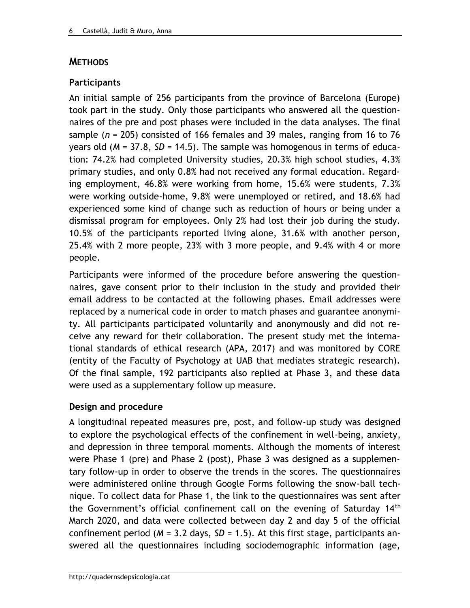### **METHODS**

### **Participants**

An initial sample of 256 participants from the province of Barcelona (Europe) took part in the study. Only those participants who answered all the questionnaires of the pre and post phases were included in the data analyses. The final sample (*n* = 205) consisted of 166 females and 39 males, ranging from 16 to 76 years old (*M* = 37.8, *SD* = 14.5). The sample was homogenous in terms of education: 74.2% had completed University studies, 20.3% high school studies, 4.3% primary studies, and only 0.8% had not received any formal education. Regarding employment, 46.8% were working from home, 15.6% were students, 7.3% were working outside-home, 9.8% were unemployed or retired, and 18.6% had experienced some kind of change such as reduction of hours or being under a dismissal program for employees. Only 2% had lost their job during the study. 10.5% of the participants reported living alone, 31.6% with another person, 25.4% with 2 more people, 23% with 3 more people, and 9.4% with 4 or more people.

Participants were informed of the procedure before answering the questionnaires, gave consent prior to their inclusion in the study and provided their email address to be contacted at the following phases. Email addresses were replaced by a numerical code in order to match phases and guarantee anonymity. All participants participated voluntarily and anonymously and did not receive any reward for their collaboration. The present study met the international standards of ethical research (APA, 2017) and was monitored by CORE (entity of the Faculty of Psychology at UAB that mediates strategic research). Of the final sample, 192 participants also replied at Phase 3, and these data were used as a supplementary follow up measure.

#### **Design and procedure**

A longitudinal repeated measures pre, post, and follow-up study was designed to explore the psychological effects of the confinement in well-being, anxiety, and depression in three temporal moments. Although the moments of interest were Phase 1 (pre) and Phase 2 (post), Phase 3 was designed as a supplementary follow-up in order to observe the trends in the scores. The questionnaires were administered online through Google Forms following the snow-ball technique. To collect data for Phase 1, the link to the questionnaires was sent after the Government's official confinement call on the evening of Saturday 14<sup>th</sup> March 2020, and data were collected between day 2 and day 5 of the official confinement period (*M* = 3.2 days, *SD* = 1.5). At this first stage, participants answered all the questionnaires including sociodemographic information (age,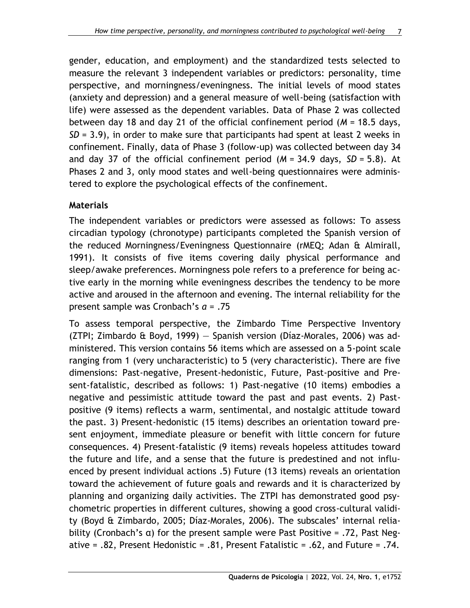gender, education, and employment) and the standardized tests selected to measure the relevant 3 independent variables or predictors: personality, time perspective, and morningness/eveningness. The initial levels of mood states (anxiety and depression) and a general measure of well-being (satisfaction with life) were assessed as the dependent variables. Data of Phase 2 was collected between day 18 and day 21 of the official confinement period (*M* = 18.5 days, *SD* = 3.9), in order to make sure that participants had spent at least 2 weeks in confinement. Finally, data of Phase 3 (follow-up) was collected between day 34 and day 37 of the official confinement period (*M* = 34.9 days, *SD* = 5.8). At Phases 2 and 3, only mood states and well-being questionnaires were administered to explore the psychological effects of the confinement.

#### **Materials**

The independent variables or predictors were assessed as follows: To assess circadian typology (chronotype) participants completed the Spanish version of the reduced Morningness/Eveningness Questionnaire (rMEQ; Adan & Almirall, 1991). It consists of five items covering daily physical performance and sleep/awake preferences. Morningness pole refers to a preference for being active early in the morning while eveningness describes the tendency to be more active and aroused in the afternoon and evening. The internal reliability for the present sample was Cronbach's *α* = .75

To assess temporal perspective, the Zimbardo Time Perspective Inventory (ZTPI; Zimbardo & Boyd, 1999) — Spanish version (Díaz-Morales, 2006) was administered. This version contains 56 items which are assessed on a 5-point scale ranging from 1 (very uncharacteristic) to 5 (very characteristic). There are five dimensions: Past-negative, Present-hedonistic, Future, Past-positive and Present-fatalistic, described as follows: 1) Past-negative (10 items) embodies a negative and pessimistic attitude toward the past and past events. 2) Pastpositive (9 items) reflects a warm, sentimental, and nostalgic attitude toward the past. 3) Present-hedonistic (15 items) describes an orientation toward present enjoyment, immediate pleasure or benefit with little concern for future consequences. 4) Present-fatalistic (9 items) reveals hopeless attitudes toward the future and life, and a sense that the future is predestined and not influenced by present individual actions .5) Future (13 items) reveals an orientation toward the achievement of future goals and rewards and it is characterized by planning and organizing daily activities. The ZTPI has demonstrated good psychometric properties in different cultures, showing a good cross-cultural validity (Boyd & Zimbardo, 2005; Díaz-Morales, 2006). The subscales' internal reliability (Cronbach's α) for the present sample were Past Positive = .72, Past Negative = .82, Present Hedonistic = .81, Present Fatalistic = .62, and Future = .74.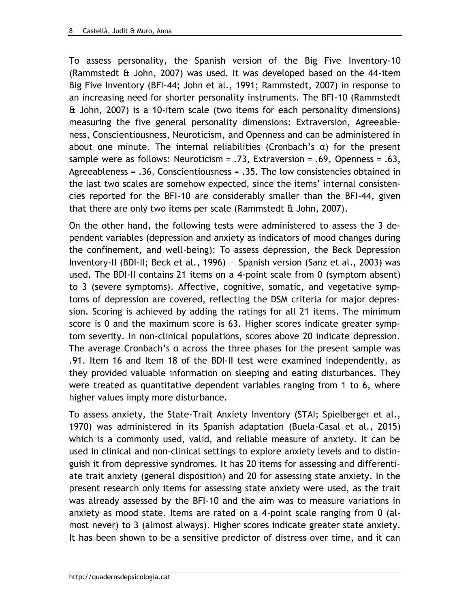To assess personality, the Spanish version of the Big Five Inventory-10 (Rammstedt & John, 2007) was used. It was developed based on the 44-item Big Five Inventory (BFI-44; John et al., 1991; Rammstedt, 2007) in response to an increasing need for shorter personality instruments. The BFI-10 (Rammstedt & John, 2007) is a 10-item scale (two items for each personality dimensions) measuring the five general personality dimensions: Extraversion, Agreeableness, Conscientiousness, Neuroticism, and Openness and can be administered in about one minute. The internal reliabilities (Cronbach's α) for the present sample were as follows: Neuroticism = .73, Extraversion = .69, Openness = .63, Agreeableness = .36, Conscientiousness = .35. The low consistencies obtained in the last two scales are somehow expected, since the items' internal consistencies reported for the BFI-10 are considerably smaller than the BFI-44, given that there are only two items per scale (Rammstedt  $\alpha$  John, 2007).

On the other hand, the following tests were administered to assess the 3 dependent variables (depression and anxiety as indicators of mood changes during the confinement, and well-being): To assess depression, the Beck Depression Inventory-II (BDI-II; Beck et al., 1996) — Spanish version (Sanz et al., 2003) was used. The BDI-II contains 21 items on a 4-point scale from 0 (symptom absent) to 3 (severe symptoms). Affective, cognitive, somatic, and vegetative symptoms of depression are covered, reflecting the DSM criteria for major depression. Scoring is achieved by adding the ratings for all 21 items. The minimum score is 0 and the maximum score is 63. Higher scores indicate greater symptom severity. In non-clinical populations, scores above 20 indicate depression. The average Cronbach's α across the three phases for the present sample was .91. Item 16 and Item 18 of the BDI-II test were examined independently, as they provided valuable information on sleeping and eating disturbances. They were treated as quantitative dependent variables ranging from 1 to 6, where higher values imply more disturbance.

To assess anxiety, the State-Trait Anxiety Inventory (STAI; Spielberger et al., 1970) was administered in its Spanish adaptation (Buela-Casal et al., 2015) which is a commonly used, valid, and reliable measure of anxiety. It can be used in clinical and non-clinical settings to explore anxiety levels and to distinguish it from depressive syndromes. It has 20 items for assessing and differentiate trait anxiety (general disposition) and 20 for assessing state anxiety. In the present research only items for assessing state anxiety were used, as the trait was already assessed by the BFI-10 and the aim was to measure variations in anxiety as mood state. Items are rated on a 4-point scale ranging from 0 (almost never) to 3 (almost always). Higher scores indicate greater state anxiety. It has been shown to be a sensitive predictor of distress over time, and it can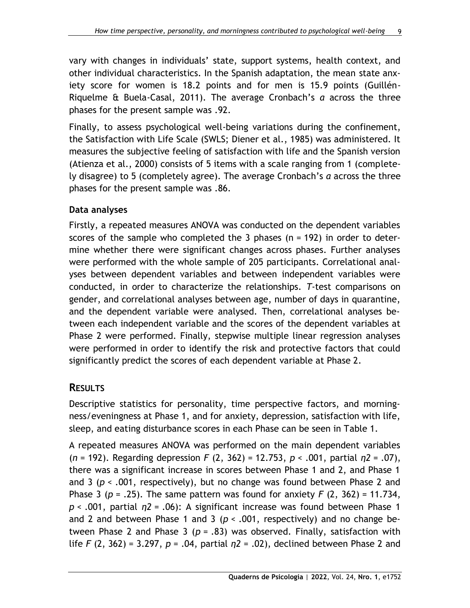vary with changes in individuals' state, support systems, health context, and other individual characteristics. In the Spanish adaptation, the mean state anxiety score for women is 18.2 points and for men is 15.9 points (Guillén-Riquelme & Buela-Casal, 2011). The average Cronbach's *α* across the three phases for the present sample was .92.

Finally, to assess psychological well-being variations during the confinement, the Satisfaction with Life Scale (SWLS; Diener et al., 1985) was administered. It measures the subjective feeling of satisfaction with life and the Spanish version (Atienza et al., 2000) consists of 5 items with a scale ranging from 1 (completely disagree) to 5 (completely agree). The average Cronbach's *α* across the three phases for the present sample was .86.

### **Data analyses**

Firstly, a repeated measures ANOVA was conducted on the dependent variables scores of the sample who completed the 3 phases (n = 192) in order to determine whether there were significant changes across phases. Further analyses were performed with the whole sample of 205 participants. Correlational analyses between dependent variables and between independent variables were conducted, in order to characterize the relationships. *T*-test comparisons on gender, and correlational analyses between age, number of days in quarantine, and the dependent variable were analysed. Then, correlational analyses between each independent variable and the scores of the dependent variables at Phase 2 were performed. Finally, stepwise multiple linear regression analyses were performed in order to identify the risk and protective factors that could significantly predict the scores of each dependent variable at Phase 2.

### **RESULTS**

Descriptive statistics for personality, time perspective factors, and morningness/eveningness at Phase 1, and for anxiety, depression, satisfaction with life, sleep, and eating disturbance scores in each Phase can be seen in Table 1.

A repeated measures ANOVA was performed on the main dependent variables (*n* = 192). Regarding depression *F* (2, 362) = 12.753, *p* < .001, partial *η2* = .07), there was a significant increase in scores between Phase 1 and 2, and Phase 1 and 3 (*p* < .001, respectively), but no change was found between Phase 2 and Phase 3 (*p* = .25). The same pattern was found for anxiety *F* (2, 362) = 11.734, *p* < .001, partial *η2* = .06): A significant increase was found between Phase 1 and 2 and between Phase 1 and 3 ( $p < .001$ , respectively) and no change between Phase 2 and Phase 3 (*p* = .83) was observed. Finally, satisfaction with life *F* (2, 362) = 3.297, *p* = .04, partial *η2* = .02), declined between Phase 2 and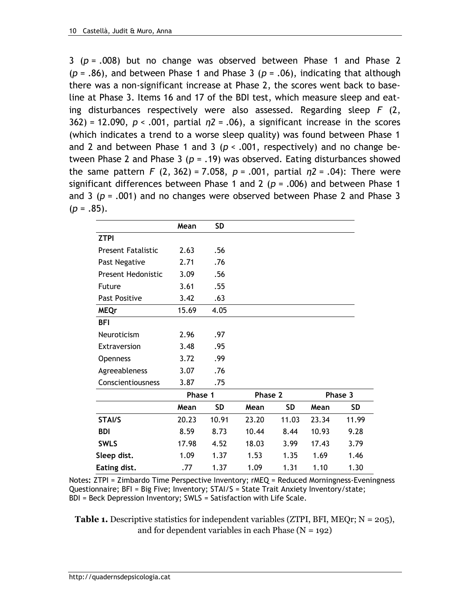3 (*p* = .008) but no change was observed between Phase 1 and Phase 2  $(p = .86)$ , and between Phase 1 and Phase 3  $(p = .06)$ , indicating that although there was a non-significant increase at Phase 2, the scores went back to baseline at Phase 3. Items 16 and 17 of the BDI test, which measure sleep and eating disturbances respectively were also assessed. Regarding sleep *F* (2, 362) = 12.090, *p* < .001, partial *η2* = .06), a significant increase in the scores (which indicates a trend to a worse sleep quality) was found between Phase 1 and 2 and between Phase 1 and 3 (*p* < .001, respectively) and no change between Phase 2 and Phase 3 (*p* = .19) was observed. Eating disturbances showed the same pattern *F* (2, 362) = 7.058, *p* = .001, partial *η2* = .04): There were significant differences between Phase 1 and 2 (*p* = .006) and between Phase 1 and 3 (*p* = .001) and no changes were observed between Phase 2 and Phase 3  $(p = .85)$ .

|                           | Mean    | <b>SD</b> |         |           |         |           |
|---------------------------|---------|-----------|---------|-----------|---------|-----------|
| <b>ZTPI</b>               |         |           |         |           |         |           |
| <b>Present Fatalistic</b> | 2.63    | .56       |         |           |         |           |
| Past Negative             | 2.71    | .76       |         |           |         |           |
| <b>Present Hedonistic</b> | 3.09    | .56       |         |           |         |           |
| <b>Future</b>             | 3.61    | .55       |         |           |         |           |
| <b>Past Positive</b>      | 3.42    | .63       |         |           |         |           |
| <b>MEQr</b>               | 15.69   | 4.05      |         |           |         |           |
| <b>BFI</b>                |         |           |         |           |         |           |
| Neuroticism               | 2.96    | .97       |         |           |         |           |
| Extraversion              | 3.48    | .95       |         |           |         |           |
| <b>Openness</b>           | 3.72    | .99       |         |           |         |           |
| Agreeableness             | 3.07    | .76       |         |           |         |           |
| Conscientiousness         | 3.87    | .75       |         |           |         |           |
|                           | Phase 1 |           | Phase 2 |           | Phase 3 |           |
|                           | Mean    | <b>SD</b> | Mean    | <b>SD</b> | Mean    | <b>SD</b> |
| <b>STAI/S</b>             | 20.23   | 10.91     | 23.20   | 11.03     | 23.34   | 11.99     |
| <b>BDI</b>                | 8.59    | 8.73      | 10.44   | 8.44      | 10.93   | 9.28      |
| <b>SWLS</b>               | 17.98   | 4.52      | 18.03   | 3.99      | 17.43   | 3.79      |
| Sleep dist.               | 1.09    | 1.37      | 1.53    | 1.35      | 1.69    | 1.46      |
| Eating dist.              | .77     | 1.37      | 1.09    | 1.31      | 1.10    | 1.30      |

Notes**:** ZTPI = Zimbardo Time Perspective Inventory; rMEQ = Reduced Morningness-Eveningness Questionnaire; BFI = Big Five; Inventory; STAI/S = State Trait Anxiety Inventory/state; BDI = Beck Depression Inventory; SWLS = Satisfaction with Life Scale.

**Table 1.** Descriptive statistics for independent variables (ZTPI, BFI, MEQr; N = 205), and for dependent variables in each Phase  $(N = 192)$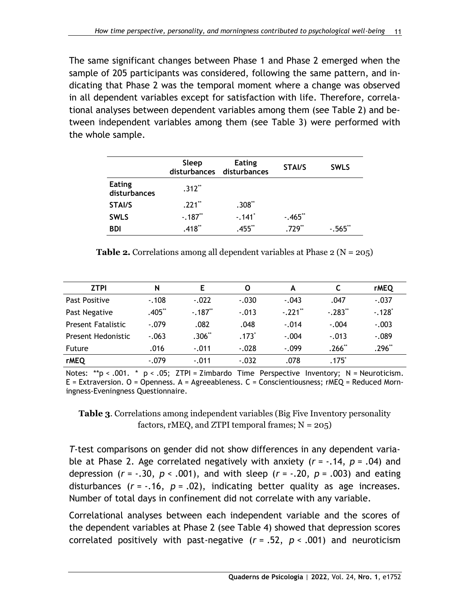The same significant changes between Phase 1 and Phase 2 emerged when the sample of 205 participants was considered, following the same pattern, and indicating that Phase 2 was the temporal moment where a change was observed in all dependent variables except for satisfaction with life. Therefore, correlational analyses between dependent variables among them (see Table 2) and between independent variables among them (see Table 3) were performed with the whole sample.

|                               | Sleep     | <b>Eating</b><br>disturbances disturbances | <b>STAI/S</b> | <b>SWLS</b> |
|-------------------------------|-----------|--------------------------------------------|---------------|-------------|
| <b>Eating</b><br>disturbances | $.312**$  |                                            |               |             |
| STAI/S                        | $.221$ ** | $.308**$                                   |               |             |
| <b>SWLS</b>                   | $-.187**$ | $-.141"$                                   | $-.465"$      |             |
| <b>BDI</b>                    | $.418**$  | $.455$ **                                  | $.729**$      | $-0.565$    |

**Table 2.** Correlations among all dependent variables at Phase  $2 (N = 205)$ 

| <b>ZTPI</b>               | N       | Е        | O       | А        |          | <b>rMEQ</b>          |
|---------------------------|---------|----------|---------|----------|----------|----------------------|
| Past Positive             | $-.108$ | $-.022$  | $-.030$ | $-.043$  | .047     | $-.037$              |
| Past Negative             | .405**  | $-.187"$ | $-.013$ | $-.221"$ | $-.283"$ | $-.128$ <sup>*</sup> |
| <b>Present Fatalistic</b> | $-.079$ | .082     | .048    | $-.014$  | $-.004$  | $-.003$              |
| Present Hedonistic        | $-.063$ | $.306**$ | $.173*$ | $-.004$  | $-.013$  | $-.089$              |
| <b>Future</b>             | .016    | $-.011$  | $-.028$ | $-.099$  | $.266**$ | $.296**$             |
| <b>rMEQ</b>               | $-.079$ | $-.011$  | $-.032$ | .078     | .175゛    |                      |

Notes:  $*p < .001$ .  $* p < .05$ ; ZTPI = Zimbardo Time Perspective Inventory; N = Neuroticism.  $E =$  Extraversion. O = Openness. A = Agreeableness. C = Conscientiousness;  $rMEQ =$  Reduced Morningness-Eveningness Questionnaire.

**Table 3**. Correlations among independent variables (Big Five Inventory personality factors, rMEQ, and ZTPI temporal frames;  $N = 205$ )

*T*-test comparisons on gender did not show differences in any dependent variable at Phase 2. Age correlated negatively with anxiety (*r* = -.14, *p* = .04) and depression (*r* = -.30, *p* < .001), and with sleep (*r* = -.20, *p* = .003) and eating disturbances (*r* = -.16, *p* = .02), indicating better quality as age increases. Number of total days in confinement did not correlate with any variable.

Correlational analyses between each independent variable and the scores of the dependent variables at Phase 2 (see Table 4) showed that depression scores correlated positively with past-negative (*r* = .52, *p* < .001) and neuroticism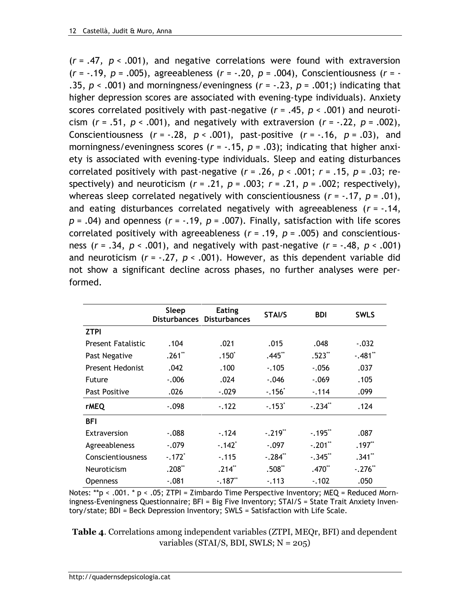(*r* = .47*, p* < .001), and negative correlations were found with extraversion (*r* = -.19, *p* = .005), agreeableness (*r =* -.20, *p =* .004), Conscientiousness (*r* = - .35, *p* < .001) and morningness/eveningness (*r* = -.23, *p* = .001;) indicating that higher depression scores are associated with evening-type individuals). Anxiety scores correlated positively with past-negative (*r* = .45, *p* < .001) and neuroticism  $(r = .51, p < .001)$ , and negatively with extraversion  $(r = -.22, p = .002)$ , Conscientiousness  $(r = -.28, p < .001)$ , past-positive  $(r = -.16, p = .03)$ , and morningness/eveningness scores (*r* = -.15, *p* = .03); indicating that higher anxiety is associated with evening-type individuals. Sleep and eating disturbances correlated positively with past-negative  $(r = .26, p < .001; r = .15, p = .03; re-$ spectively) and neuroticism  $(r = .21, p = .003; r = .21, p = .002;$  respectively), whereas sleep correlated negatively with conscientiousness (*r* = -.17, *p* = .01), and eating disturbances correlated negatively with agreeableness (*r* = -.14, *p* = .04) and openness (*r* = -.19, *p* = .007). Finally, satisfaction with life scores correlated positively with agreeableness (*r* = .19, *p* = .005) and conscientiousness  $(r = .34, p < .001)$ , and negatively with past-negative  $(r = .48, p < .001)$ and neuroticism (*r* = -.27*, p* < .001). However, as this dependent variable did not show a significant decline across phases, no further analyses were performed.

|                           | Sleep<br><b>Disturbances</b> | <b>Eating</b><br><b>Disturbances</b> | <b>STAI/S</b>         | <b>BDI</b> | <b>SWLS</b> |
|---------------------------|------------------------------|--------------------------------------|-----------------------|------------|-------------|
| <b>ZTPI</b>               |                              |                                      |                       |            |             |
| <b>Present Fatalistic</b> | .104                         | .021                                 | .015                  | .048       | $-.032$     |
| Past Negative             | $.261$ **                    | $.150*$                              | $.445**$              | $.523**$   | $-.481"$    |
| <b>Present Hedonist</b>   | .042                         | .100                                 | $-.105$               | $-.056$    | .037        |
| <b>Future</b>             | $-.006$                      | .024                                 | $-.046$               | $-.069$    | .105        |
| <b>Past Positive</b>      | .026                         | $-.029$                              | $-0.156$              | $-114$     | .099        |
| <b>rMEQ</b>               | $-.098$                      | $-.122$                              | $-.153$               | $-.234"$   | .124        |
| <b>BFI</b>                |                              |                                      |                       |            |             |
| Extraversion              | $-0.088$                     | $-124$                               | $-.219$ <sup>**</sup> | $-.195"$   | .087        |
| Agreeableness             | $-.079$                      | $-.142"$                             | $-.097$               | $-.201"$   | $.197**$    |
| Conscientiousness         | $-.172$ <sup>*</sup>         | $-.115$                              | $-.284"$              | $-.345$ ** | $.341**$    |
| Neuroticism               | $.208**$                     | $.214**$                             | $.508**$              | .470**     | $-.276"$    |
| <b>Openness</b>           | $-.081$                      | $-.187**$                            | $-.113$               | $-.102$    | .050        |

Notes: \*\*p < .001. \* p < .05; ZTPI = Zimbardo Time Perspective Inventory; MEQ = Reduced Morningness-Eveningness Questionnaire; BFI = Big Five Inventory; STAI/S = State Trait Anxiety Inventory/state; BDI = Beck Depression Inventory; SWLS = Satisfaction with Life Scale.

**Table 4**. Correlations among independent variables (ZTPI, MEQr, BFI) and dependent variables (STAI/S, BDI, SWLS;  $N = 205$ )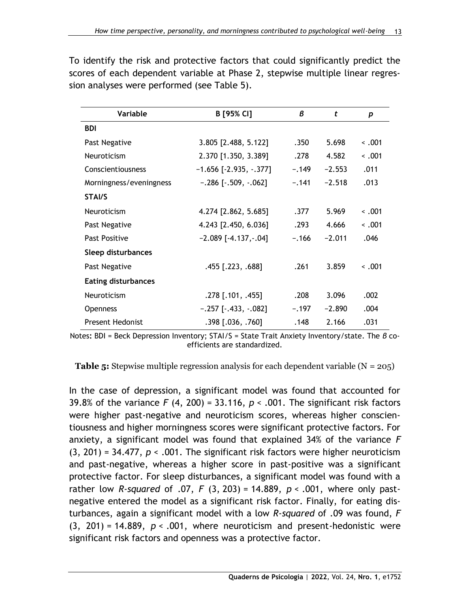| Variable                   | B [95% CI]                  | B       | t        | p           |  |
|----------------------------|-----------------------------|---------|----------|-------------|--|
| <b>BDI</b>                 |                             |         |          |             |  |
| Past Negative              | 3.805 [2.488, 5.122]        | .350    | 5.698    | $\sim .001$ |  |
| <b>Neuroticism</b>         | 2.370 [1.350, 3.389]        | .278    | 4.582    | $\sim .001$ |  |
| Conscientiousness          | $-1.656$ [ $-2.935, -377$ ] | $-.149$ | $-2.553$ | .011        |  |
| Morningness/eveningness    | $-.286$ [ $-.509, -.062$ ]  | $-.141$ | $-2.518$ | .013        |  |
| STAI/S                     |                             |         |          |             |  |
| Neuroticism                | 4.274 [2.862, 5.685]        | .377    | 5.969    | $\sim .001$ |  |
| Past Negative              | 4.243 [2.450, 6.036]        | .293    | 4.666    | $\sim .001$ |  |
| Past Positive              | $-2.089$ [ $-4.137,-.04$ ]  | $-.166$ | $-2.011$ | .046        |  |
| Sleep disturbances         |                             |         |          |             |  |
| Past Negative              | .455 [.223, .688]           | .261    | 3.859    | $\leq .001$ |  |
| <b>Eating disturbances</b> |                             |         |          |             |  |
| <b>Neuroticism</b>         | $.278$ [.101, .455]         | .208    | 3.096    | .002        |  |
| <b>Openness</b>            | $-.257$ [ $-.433, -.082$ ]  | $-.197$ | $-2.890$ | .004        |  |
| <b>Present Hedonist</b>    | $.398$ [.036, .760]         | .148    | 2.166    | .031        |  |

To identify the risk and protective factors that could significantly predict the scores of each dependent variable at Phase 2, stepwise multiple linear regression analyses were performed (see Table 5).

Notes**:** BDI = Beck Depression Inventory; STAI/S = State Trait Anxiety Inventory/state. The *β* coefficients are standardized.

**Table 5:** Stepwise multiple regression analysis for each dependent variable  $(N = 205)$ 

In the case of depression, a significant model was found that accounted for 39.8% of the variance *F* (4, 200) = 33.116, *p* < .001. The significant risk factors were higher past-negative and neuroticism scores, whereas higher conscientiousness and higher morningness scores were significant protective factors. For anxiety, a significant model was found that explained 34% of the variance *F*  (3, 201) = 34.477, *p* < .001. The significant risk factors were higher neuroticism and past-negative, whereas a higher score in past-positive was a significant protective factor. For sleep disturbances, a significant model was found with a rather low *R-squared* of .07, *F* (3, 203) = 14.889, *p* < .001, where only pastnegative entered the model as a significant risk factor. Finally, for eating disturbances, again a significant model with a low *R-squared* of .09 was found, *F* (3, 201) = 14.889, *p* < .001, where neuroticism and present-hedonistic were significant risk factors and openness was a protective factor.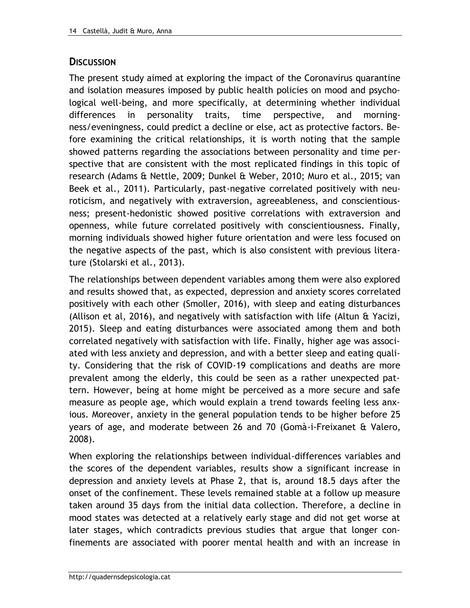## **DISCUSSION**

The present study aimed at exploring the impact of the Coronavirus quarantine and isolation measures imposed by public health policies on mood and psychological well-being, and more specifically, at determining whether individual differences in personality traits, time perspective, and morningness/eveningness, could predict a decline or else, act as protective factors. Before examining the critical relationships, it is worth noting that the sample showed patterns regarding the associations between personality and time perspective that are consistent with the most replicated findings in this topic of research (Adams & Nettle, 2009; Dunkel & Weber, 2010; Muro et al., 2015; van Beek et al., 2011). Particularly, past-negative correlated positively with neuroticism, and negatively with extraversion, agreeableness, and conscientiousness; present-hedonistic showed positive correlations with extraversion and openness, while future correlated positively with conscientiousness. Finally, morning individuals showed higher future orientation and were less focused on the negative aspects of the past, which is also consistent with previous literature (Stolarski et al., 2013).

The relationships between dependent variables among them were also explored and results showed that, as expected, depression and anxiety scores correlated positively with each other (Smoller, 2016), with sleep and eating disturbances (Allison et al, 2016), and negatively with satisfaction with life (Altun & Yacizi, 2015). Sleep and eating disturbances were associated among them and both correlated negatively with satisfaction with life. Finally, higher age was associated with less anxiety and depression, and with a better sleep and eating quality. Considering that the risk of COVID-19 complications and deaths are more prevalent among the elderly, this could be seen as a rather unexpected pattern. However, being at home might be perceived as a more secure and safe measure as people age, which would explain a trend towards feeling less anxious. Moreover, anxiety in the general population tends to be higher before 25 years of age, and moderate between 26 and 70 (Gomà-i-Freixanet & Valero, 2008).

When exploring the relationships between individual-differences variables and the scores of the dependent variables, results show a significant increase in depression and anxiety levels at Phase 2, that is, around 18.5 days after the onset of the confinement. These levels remained stable at a follow up measure taken around 35 days from the initial data collection. Therefore, a decline in mood states was detected at a relatively early stage and did not get worse at later stages, which contradicts previous studies that argue that longer confinements are associated with poorer mental health and with an increase in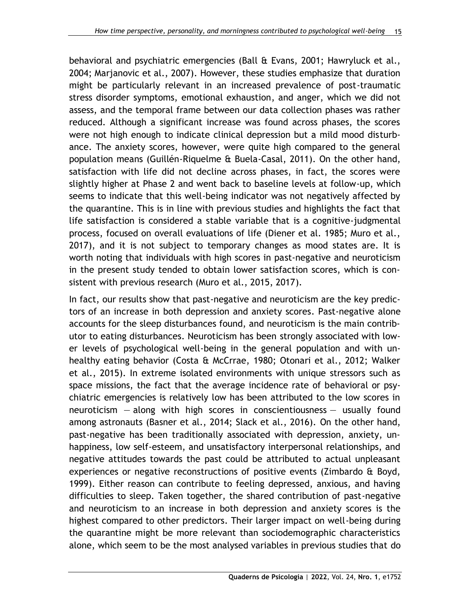behavioral and psychiatric emergencies (Ball & Evans, 2001; Hawryluck et al., 2004; Marjanovic et al., 2007). However, these studies emphasize that duration might be particularly relevant in an increased prevalence of post-traumatic stress disorder symptoms, emotional exhaustion, and anger, which we did not assess, and the temporal frame between our data collection phases was rather reduced. Although a significant increase was found across phases, the scores were not high enough to indicate clinical depression but a mild mood disturbance. The anxiety scores, however, were quite high compared to the general population means (Guillén-Riquelme & Buela-Casal, 2011). On the other hand, satisfaction with life did not decline across phases, in fact, the scores were slightly higher at Phase 2 and went back to baseline levels at follow-up, which seems to indicate that this well-being indicator was not negatively affected by the quarantine. This is in line with previous studies and highlights the fact that life satisfaction is considered a stable variable that is a cognitive-judgmental process, focused on overall evaluations of life (Diener et al. 1985; Muro et al., 2017), and it is not subject to temporary changes as mood states are. It is worth noting that individuals with high scores in past-negative and neuroticism in the present study tended to obtain lower satisfaction scores, which is consistent with previous research (Muro et al., 2015, 2017).

In fact, our results show that past-negative and neuroticism are the key predictors of an increase in both depression and anxiety scores. Past-negative alone accounts for the sleep disturbances found, and neuroticism is the main contributor to eating disturbances. Neuroticism has been strongly associated with lower levels of psychological well-being in the general population and with unhealthy eating behavior (Costa & McCrrae, 1980; Otonari et al., 2012; Walker et al., 2015). In extreme isolated environments with unique stressors such as space missions, the fact that the average incidence rate of behavioral or psychiatric emergencies is relatively low has been attributed to the low scores in neuroticism — along with high scores in conscientiousness — usually found among astronauts (Basner et al., 2014; Slack et al., 2016). On the other hand, past-negative has been traditionally associated with depression, anxiety, unhappiness, low self-esteem, and unsatisfactory interpersonal relationships, and negative attitudes towards the past could be attributed to actual unpleasant experiences or negative reconstructions of positive events (Zimbardo & Boyd, 1999). Either reason can contribute to feeling depressed, anxious, and having difficulties to sleep. Taken together, the shared contribution of past-negative and neuroticism to an increase in both depression and anxiety scores is the highest compared to other predictors. Their larger impact on well-being during the quarantine might be more relevant than sociodemographic characteristics alone, which seem to be the most analysed variables in previous studies that do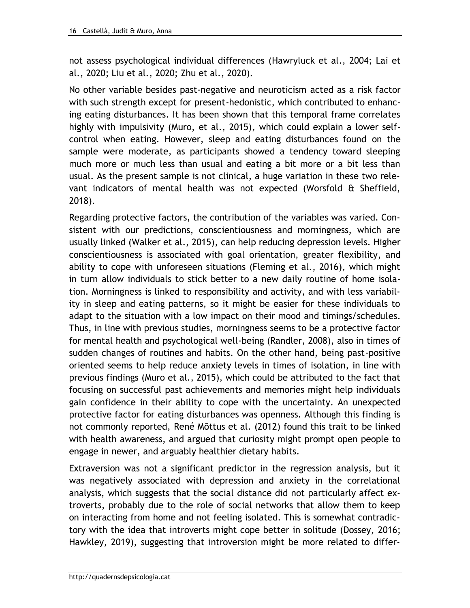not assess psychological individual differences (Hawryluck et al., 2004; Lai et al., 2020; Liu et al., 2020; Zhu et al., 2020).

No other variable besides past-negative and neuroticism acted as a risk factor with such strength except for present-hedonistic, which contributed to enhancing eating disturbances. It has been shown that this temporal frame correlates highly with impulsivity (Muro, et al., 2015), which could explain a lower selfcontrol when eating. However, sleep and eating disturbances found on the sample were moderate, as participants showed a tendency toward sleeping much more or much less than usual and eating a bit more or a bit less than usual. As the present sample is not clinical, a huge variation in these two relevant indicators of mental health was not expected (Worsfold & Sheffield, 2018).

Regarding protective factors, the contribution of the variables was varied. Consistent with our predictions, conscientiousness and morningness, which are usually linked (Walker et al., 2015), can help reducing depression levels. Higher conscientiousness is associated with goal orientation, greater flexibility, and ability to cope with unforeseen situations (Fleming et al., 2016), which might in turn allow individuals to stick better to a new daily routine of home isolation. Morningness is linked to responsibility and activity, and with less variability in sleep and eating patterns, so it might be easier for these individuals to adapt to the situation with a low impact on their mood and timings/schedules. Thus, in line with previous studies, morningness seems to be a protective factor for mental health and psychological well-being (Randler, 2008), also in times of sudden changes of routines and habits. On the other hand, being past-positive oriented seems to help reduce anxiety levels in times of isolation, in line with previous findings (Muro et al., 2015), which could be attributed to the fact that focusing on successful past achievements and memories might help individuals gain confidence in their ability to cope with the uncertainty. An unexpected protective factor for eating disturbances was openness. Although this finding is not commonly reported, René Mõttus et al. (2012) found this trait to be linked with health awareness, and argued that curiosity might prompt open people to engage in newer, and arguably healthier dietary habits.

Extraversion was not a significant predictor in the regression analysis, but it was negatively associated with depression and anxiety in the correlational analysis, which suggests that the social distance did not particularly affect extroverts, probably due to the role of social networks that allow them to keep on interacting from home and not feeling isolated. This is somewhat contradictory with the idea that introverts might cope better in solitude (Dossey, 2016; Hawkley, 2019), suggesting that introversion might be more related to differ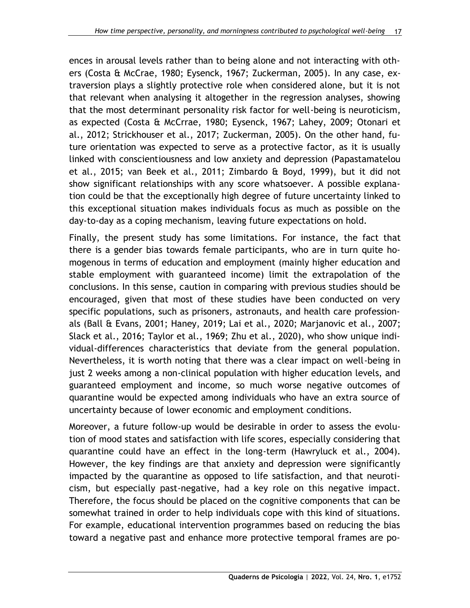ences in arousal levels rather than to being alone and not interacting with others (Costa & McCrae, 1980; Eysenck, 1967; Zuckerman, 2005). In any case, extraversion plays a slightly protective role when considered alone, but it is not that relevant when analysing it altogether in the regression analyses, showing that the most determinant personality risk factor for well-being is neuroticism, as expected (Costa & McCrrae, 1980; Eysenck, 1967; Lahey, 2009; Otonari et al., 2012; Strickhouser et al., 2017; Zuckerman, 2005). On the other hand, future orientation was expected to serve as a protective factor, as it is usually linked with conscientiousness and low anxiety and depression (Papastamatelou et al., 2015; van Beek et al., 2011; Zimbardo & Boyd, 1999), but it did not show significant relationships with any score whatsoever. A possible explanation could be that the exceptionally high degree of future uncertainty linked to this exceptional situation makes individuals focus as much as possible on the day-to-day as a coping mechanism, leaving future expectations on hold.

Finally, the present study has some limitations. For instance, the fact that there is a gender bias towards female participants, who are in turn quite homogenous in terms of education and employment (mainly higher education and stable employment with guaranteed income) limit the extrapolation of the conclusions. In this sense, caution in comparing with previous studies should be encouraged, given that most of these studies have been conducted on very specific populations, such as prisoners, astronauts, and health care professionals (Ball & Evans, 2001; Haney, 2019; Lai et al., 2020; Marjanovic et al., 2007; Slack et al., 2016; Taylor et al., 1969; Zhu et al., 2020), who show unique individual-differences characteristics that deviate from the general population. Nevertheless, it is worth noting that there was a clear impact on well-being in just 2 weeks among a non-clinical population with higher education levels, and guaranteed employment and income, so much worse negative outcomes of quarantine would be expected among individuals who have an extra source of uncertainty because of lower economic and employment conditions.

Moreover, a future follow-up would be desirable in order to assess the evolution of mood states and satisfaction with life scores, especially considering that quarantine could have an effect in the long-term (Hawryluck et al., 2004). However, the key findings are that anxiety and depression were significantly impacted by the quarantine as opposed to life satisfaction, and that neuroticism, but especially past-negative, had a key role on this negative impact. Therefore, the focus should be placed on the cognitive components that can be somewhat trained in order to help individuals cope with this kind of situations. For example, educational intervention programmes based on reducing the bias toward a negative past and enhance more protective temporal frames are po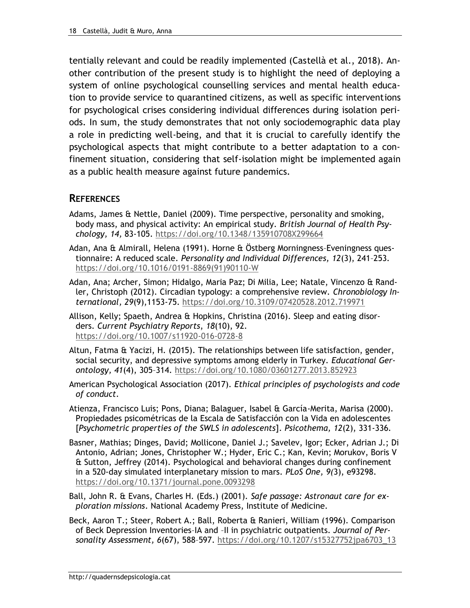tentially relevant and could be readily implemented (Castellà et al., 2018). Another contribution of the present study is to highlight the need of deploying a system of online psychological counselling services and mental health education to provide service to quarantined citizens, as well as specific interventions for psychological crises considering individual differences during isolation periods. In sum, the study demonstrates that not only sociodemographic data play a role in predicting well-being, and that it is crucial to carefully identify the psychological aspects that might contribute to a better adaptation to a confinement situation, considering that self-isolation might be implemented again as a public health measure against future pandemics.

#### **REFERENCES**

- Adams, James & Nettle, Daniel (2009). Time perspective, personality and smoking, body mass, and physical activity: An empirical study. *British Journal of Health Psychology, 14,* 83-105.<https://doi.org/10.1348/135910708X299664>
- Adan, Ana & Almirall, Helena (1991). Horne & Östberg Morningness–Eveningness questionnaire: A reduced scale. *Personality and Individual Differences, 12*(3), 241–253. [https://doi.org/10.1016/0191-8869\(91\)90110-W](https://doi.org/10.1016/0191-8869(91)90110-W)
- Adan, Ana; Archer, Simon; Hidalgo, Maria Paz; Di Milia, Lee; Natale, Vincenzo & Randler, Christoph (2012). Circadian typology: a comprehensive review. *Chronobiology International, 29*(9),1153-75.<https://doi.org/10.3109/07420528.2012.719971>
- Allison, Kelly; Spaeth, Andrea & Hopkins, Christina (2016). Sleep and eating disorders. *Current Psychiatry Reports*, *18*(10), 92. <https://doi.org/10.1007/s11920-016-0728-8>
- Altun, Fatma & Yacizi, H. (2015). The relationships between life satisfaction, gender, social security, and depressive symptoms among elderly in Turkey. *Educational Gerontology, 41*(4), 305–314.<https://doi.org/10.1080/03601277.2013.852923>
- American Psychological Association (2017). *Ethical principles of psychologists and code of conduct*.
- Atienza, Francisco Luis; Pons, Diana; Balaguer, Isabel & García-Merita, Marisa (2000). Propiedades psicométricas de la Escala de Satisfacción con la Vida en adolescentes [*Psychometric properties of the SWLS in adolescents*]. *Psicothema, 12*(2), 331-336.
- Basner, Mathias; Dinges, David; Mollicone, Daniel J.; Savelev, Igor; Ecker, Adrian J.; Di Antonio, Adrian; Jones, Christopher W.; Hyder, Eric C.; Kan, Kevin; Morukov, Boris V & Sutton, Jeffrey (2014). Psychological and behavioral changes during confinement in a 520-day simulated interplanetary mission to mars. *PLoS One, 9(*3), e93298. <https://doi.org/10.1371/journal.pone.0093298>
- Ball, John R. & Evans, Charles H. (Eds.) (2001). *Safe passage: Astronaut care for exploration missions*. National Academy Press, Institute of Medicine.
- Beck, Aaron T.; Steer, Robert A.; Ball, Roberta & Ranieri, William (1996). Comparison of Beck Depression Inventories–IA and –II in psychiatric outpatients. *Journal of Personality Assessment, 6*(67), 588–597. [https://doi.org/10.1207/s15327752jpa6703\\_13](https://doi.org/10.1207/s15327752jpa6703_13)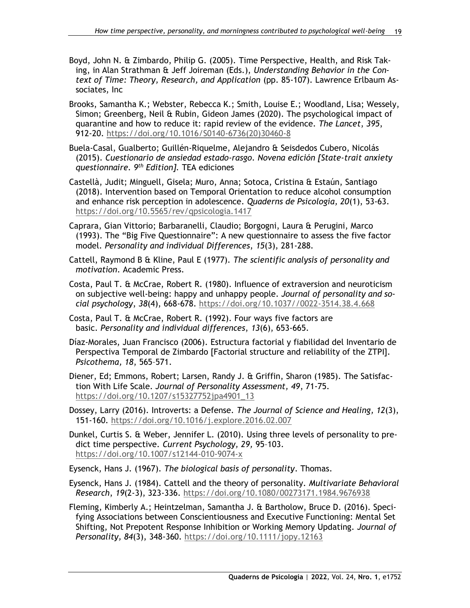- Boyd, John N. & Zimbardo, Philip G. (2005). Time Perspective, Health, and Risk Taking, in Alan Strathman & Jeff Joireman (Eds.), *Understanding Behavior in the Context of Time: Theory, Research, and Application* (pp. 85-107). Lawrence Erlbaum Associates, Inc
- Brooks, Samantha K.; Webster, Rebecca K.; Smith, Louise E.; Woodland, Lisa; Wessely, Simon; Greenberg, Neil & Rubin, Gideon James (2020). The psychological impact of quarantine and how to reduce it: rapid review of the evidence. *The Lancet*, *395*, 912-20. [https://doi.org/10.1016/S0140-6736\(20\)30460-8](https://doi.org/10.1016/S0140-6736(20)30460-8)
- Buela-Casal, Gualberto; Guillén-Riquelme, Alejandro & Seisdedos Cubero, Nicolás (2015). *Cuestionario de ansiedad estado-rasgo. Novena edición [State-trait anxiety questionnaire. 9th Edition].* TEA ediciones
- Castellà, Judit; Minguell, Gisela; Muro, Anna; Sotoca, Cristina & Estaún, Santiago (2018). Intervention based on Temporal Orientation to reduce alcohol consumption and enhance risk perception in adolescence. *Quaderns de Psicologia, 20*(1), 53-63. <https://doi.org/10.5565/rev/qpsicologia.1417>
- Caprara, Gian Vittorio; Barbaranelli, Claudio; Borgogni, Laura & Perugini, Marco (1993). The "Big Five Questionnaire": A new questionnaire to assess the five factor model. *Personality and individual Differences*, *15*(3), 281-288.
- Cattell, Raymond B & Kline, Paul E (1977). *The scientific analysis of personality and motivation*. Academic Press.
- Costa, Paul T. & McCrae, Robert R. (1980). Influence of extraversion and neuroticism on subjective well-being: happy and unhappy people. *Journal of personality and social psychology*, *38*(4), 668-678. [https://doi.org/10.1037//0022-3514.38.4.668](https://doi.org/10.1037/0022-3514.38.4.668)
- Costa, Paul T. & McCrae, Robert R. (1992). Four ways five factors are basic. *Personality and individual differences*, *13*(6), 653-665.
- Díaz-Morales, Juan Francisco (2006). Estructura factorial y fiabilidad del Inventario de Perspectiva Temporal de Zimbardo [Factorial structure and reliability of the ZTPI]. *Psicothema, 18*, 565–571.
- Diener, Ed; Emmons, Robert; Larsen, Randy J. & Griffin, Sharon (1985). The Satisfaction With Life Scale. *Journal of Personality Assessment, 49*, 71-75. [https://doi.org/10.1207/s15327752jpa4901\\_13](https://doi.org/10.1207/s15327752jpa4901_13)
- Dossey, Larry (2016). Introverts: a Defense. *The Journal of Science and Healing, 12*(3), 151-160.<https://doi.org/10.1016/j.explore.2016.02.007>
- Dunkel, Curtis S. & Weber, Jennifer L. (2010). Using three levels of personality to predict time perspective. *Current Psychology, 29,* 95–103. <https://doi.org/10.1007/s12144-010-9074-x>
- Eysenck, Hans J. (1967). *The biological basis of personality*. Thomas.
- Eysenck, Hans J. (1984). Cattell and the theory of personality. *Multivariate Behavioral Research*, *19*(2-3), 323-336.<https://doi.org/10.1080/00273171.1984.9676938>
- Fleming, Kimberly A.; Heintzelman, Samantha J. & Bartholow, Bruce D. (2016). Specifying Associations between Conscientiousness and Executive Functioning: Mental Set Shifting, Not Prepotent Response Inhibition or Working Memory Updating. *Journal of Personality, 84*(3), 348-360.<https://doi.org/10.1111/jopy.12163>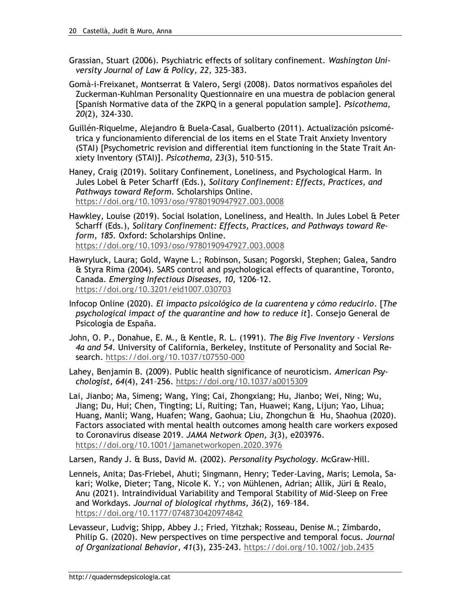- Grassian, Stuart (2006). Psychiatric effects of solitary confinement. *Washington University Journal of Law & Policy*, *22*, 325-383.
- Gomà-i-Freixanet, Montserrat & Valero, Sergi (2008). Datos normativos españoles del Zuckerman-Kuhlman Personality Questionnaire en una muestra de poblacion general [Spanish Normative data of the ZKPQ in a general population sample]. *Psicothema, 20*(2), 324-330.
- Guillén-Riquelme, Alejandro & Buela-Casal, Gualberto (2011). Actualización psicométrica y funcionamiento diferencial de los items en el State Trait Anxiety Inventory (STAI) [Psychometric revision and differential item functioning in the State Trait Anxiety Inventory (STAI)]. *Psicothema, 23*(3), 510–515.
- Haney, Craig (2019). Solitary Confinement, Loneliness, and Psychological Harm. In Jules Lobel & Peter Scharff (Eds.), *Solitary Confinement: Effects, Practices, and Pathways toward Reform.* Scholarships Online. <https://doi.org/10.1093/oso/9780190947927.003.0008>
- Hawkley, Louise (2019). Social Isolation, Loneliness, and Health. In Jules Lobel & Peter Scharff (Eds.), *Solitary Confinement: Effects, Practices, and Pathways toward Reform, 185.* Oxford: Scholarships Online. <https://doi.org/10.1093/oso/9780190947927.003.0008>
- Hawryluck, Laura; Gold, Wayne L.; Robinson, Susan; Pogorski, Stephen; Galea, Sandro & Styra Rima (2004). SARS control and psychological effects of quarantine, Toronto, Canada. *Emerging Infectious Diseases, 10,* 1206–12. <https://doi.org/10.3201/eid1007.030703>
- Infocop Online (2020). *El impacto psicológico de la cuarentena y cómo reducirlo*. [*The psychological impact of the quarantine and how to reduce it*]. Consejo General de Psicología de España.
- John, O. P., Donahue, E. M., & Kentle, R. L. (1991). *The Big Five Inventory - Versions 4a and 54*. University of California, Berkeley, Institute of Personality and Social Research.<https://doi.org/10.1037/t07550-000>
- Lahey, Benjamin B. (2009). Public health significance of neuroticism. *American Psychologist, 64*(4), 241–256.<https://doi.org/10.1037/a0015309>
- Lai, Jianbo; Ma, Simeng; Wang, Ying; Cai, Zhongxiang; Hu, Jianbo; Wei, Ning; Wu, Jiang; Du, Hui; Chen, Tingting; Li, Ruiting; Tan, Huawei; Kang, Lijun; Yao, Lihua; Huang, Manli; Wang, Huafen; Wang, Gaohua; Liu, Zhongchun & Hu, Shaohua (2020). Factors associated with mental health outcomes among health care workers exposed to Coronavirus disease 2019. *JAMA Network Open, 3*(3), e203976. <https://doi.org/10.1001/jamanetworkopen.2020.3976>

Larsen, Randy J. & Buss, David M. (2002). *Personality Psychology*. McGraw-Hill.

- Lenneis, Anita; Das-Friebel, Ahuti; Singmann, Henry; Teder-Laving, Maris; Lemola, Sakari; Wolke, Dieter; Tang, Nicole K. Y.; von Mühlenen, Adrian; Allik, Jüri & Realo, Anu (2021). Intraindividual Variability and Temporal Stability of Mid-Sleep on Free and Workdays. *Journal of biological rhythms, 36*(2), 169–184. <https://doi.org/10.1177/0748730420974842>
- Levasseur, Ludvig; Shipp, Abbey J.; Fried, Yitzhak; Rosseau, Denise M.; Zimbardo, Philip G. (2020). New perspectives on time perspective and temporal focus. *Journal of Organizational Behavior, 41*(3), 235-243.<https://doi.org/10.1002/job.2435>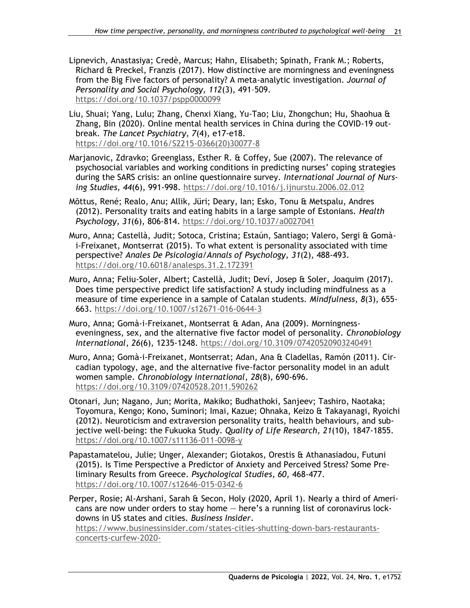Lipnevich, Anastasiya; Credè, Marcus; Hahn, Elisabeth; Spinath, Frank M.; Roberts, Richard & Preckel, Franzis (2017). How distinctive are morningness and eveningness from the Big Five factors of personality? A meta-analytic investigation. *Journal of Personality and Social Psychology, 112*(3), 491–509. <https://doi.org/10.1037/pspp0000099>

- Liu, Shuai; Yang, Lulu; Zhang, Chenxi Xiang, Yu-Tao; Liu, Zhongchun; Hu, Shaohua & Zhang, Bin (2020). Online mental health services in China during the COVID-19 outbreak. *The Lancet Psychiatry, 7*(4), e17-e18. [https://doi.org/10.1016/S2215-0366\(20\)30077-8](https://doi.org/10.1016/S2215-0366(20)30077-8)
- Marjanovic, Zdravko; Greenglass, Esther R. & Coffey, Sue (2007). The relevance of psychosocial variables and working conditions in predicting nurses' coping strategies during the SARS crisis: an online questionnaire survey. *International Journal of Nursing Studies, 44*(6), 991-998. <https://doi.org/10.1016/j.ijnurstu.2006.02.012>
- Mõttus, René; Realo, Anu; Allik, Jüri; Deary, Ian; Esko, Tonu & Metspalu, Andres (2012). Personality traits and eating habits in a large sample of Estonians. *Health Psychology, 31*(6), 806-814. <https://doi.org/10.1037/a0027041>
- Muro, Anna; Castellà, Judit; Sotoca, Cristina; Estaún, Santiago; Valero, Sergi & Gomài-Freixanet, Montserrat (2015). To what extent is personality associated with time perspective? *Anales De Psicología/Annals of Psychology, 31*(2), 488-493. <https://doi.org/10.6018/analesps.31.2.172391>
- Muro, Anna; Feliu-Soler, Albert; Castellà, Judit; Deví, Josep & Soler, Joaquim (2017). Does time perspective predict life satisfaction? A study including mindfulness as a measure of time experience in a sample of Catalan students. *Mindfulness*, *8*(3), 655- 663.<https://doi.org/10.1007/s12671-016-0644-3>
- Muro, Anna; Gomà-i-Freixanet, Montserrat & Adan, Ana (2009). Morningnesseveningness, sex, and the alternative five factor model of personality. *Chronobiology International*, *26*(6), 1235-1248.<https://doi.org/10.3109/07420520903240491>
- Muro, Anna; Gomà-i-Freixanet, Montserrat; Adan, Ana & Cladellas, Ramón (2011). Circadian typology, age, and the alternative five-factor personality model in an adult women sample. *Chronobiology international*, *28*(8), 690-696. <https://doi.org/10.3109/07420528.2011.590262>
- Otonari, Jun; Nagano, Jun; Morita, Makiko; Budhathoki, Sanjeev; Tashiro, Naotaka; Toyomura, Kengo; Kono, Suminori; Imai, Kazue; Ohnaka, Keizo & Takayanagi, Ryoichi (2012). Neuroticism and extraversion personality traits, health behaviours, and subjective well-being: the Fukuoka Study. *Quality of Life Research, 21*(10), 1847-1855. <https://doi.org/10.1007/s11136-011-0098-y>
- Papastamatelou, Julie; Unger, Alexander; Giotakos, Orestis & Athanasiadou, Futuni (2015). Is Time Perspective a Predictor of Anxiety and Perceived Stress? Some Preliminary Results from Greece. *Psychological Studies, 60,* 468-477. <https://doi.org/10.1007/s12646-015-0342-6>
- Perper, Rosie; Al-Arshani, Sarah & Secon, Holy (2020, April 1). Nearly a third of Americans are now under orders to stay home — here's a running list of coronavirus lockdowns in US states and cities*. Business Insider*.

[https://www.businessinsider.com/states-cities-shutting-down-bars-restaurants](https://www.businessinsider.com/states-cities-shutting-down-bars-restaurants-concerts-curfew-2020-3?nr_email_referer=1&utm_source=Sailthru&utm_medium=email&utm_content=Entertainment_select)[concerts-curfew-2020-](https://www.businessinsider.com/states-cities-shutting-down-bars-restaurants-concerts-curfew-2020-3?nr_email_referer=1&utm_source=Sailthru&utm_medium=email&utm_content=Entertainment_select)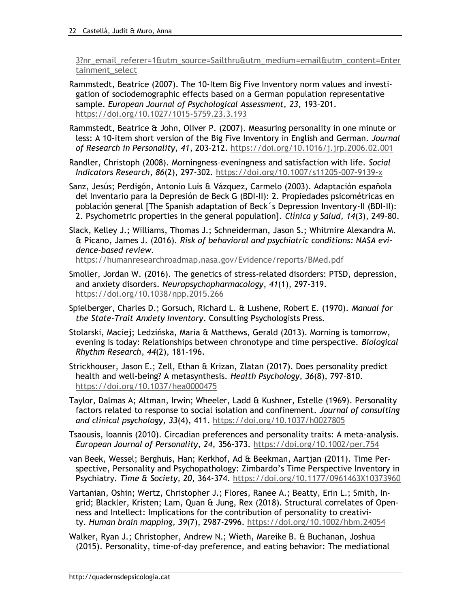[3?nr\\_email\\_referer=1&utm\\_source=Sailthru&utm\\_medium=email&utm\\_content=Enter](https://www.businessinsider.com/states-cities-shutting-down-bars-restaurants-concerts-curfew-2020-3?nr_email_referer=1&utm_source=Sailthru&utm_medium=email&utm_content=Entertainment_select) [tainment\\_select](https://www.businessinsider.com/states-cities-shutting-down-bars-restaurants-concerts-curfew-2020-3?nr_email_referer=1&utm_source=Sailthru&utm_medium=email&utm_content=Entertainment_select)

Rammstedt, Beatrice (2007). The 10-Item Big Five Inventory norm values and investigation of sociodemographic effects based on a German population representative sample. *European Journal of Psychological Assessment, 23,* 193–201. <https://doi.org/10.1027/1015-5759.23.3.193>

Rammstedt, Beatrice & John, Oliver P. (2007). Measuring personality in one minute or less: A 10-item short version of the Big Five Inventory in English and German. *Journal of Research in Personality, 41*, 203–212.<https://doi.org/10.1016/j.jrp.2006.02.001>

Randler, Christoph (2008). Morningness–eveningness and satisfaction with life. *Social Indicators Research, 86*(2), 297-302.<https://doi.org/10.1007/s11205-007-9139-x>

Sanz, Jesús; Perdigón, Antonio Luis & Vázquez, Carmelo (2003). Adaptación española del Inventario para la Depresión de Beck G (BDI-II): 2. Propiedades psicométricas en población general [The Spanish adaptation of Beck´s Depression Inventory-II (BDI-II): 2. Psychometric properties in the general population]. *Clínica y Salud, 14*(3), 249–80.

Slack, Kelley J.; Williams, Thomas J.; Schneiderman, Jason S.; Whitmire Alexandra M. & Picano, James J. (2016). *Risk of behavioral and psychiatric conditions: NASA evidence-based review.* <https://humanresearchroadmap.nasa.gov/Evidence/reports/BMed.pdf>

Smoller, Jordan W. (2016). The genetics of stress-related disorders: PTSD, depression,

and anxiety disorders. *Neuropsychopharmacology*, *41*(1), 297-319. <https://doi.org/10.1038/npp.2015.266>

Spielberger, Charles D.; Gorsuch, Richard L. & Lushene, Robert E. (1970). *Manual for the State-Trait Anxiety Inventory*. Consulting Psychologists Press.

Stolarski, Maciej; Ledzińska, Maria & Matthews, Gerald (2013). Morning is tomorrow, evening is today: Relationships between chronotype and time perspective. *Biological Rhythm Research*, *44*(2), 181-196.

Strickhouser, Jason E.; Zell, Ethan & Krizan, Zlatan (2017). Does personality predict health and well-being? A metasynthesis. *Health Psychology, 36*(8), 797–810. <https://doi.org/10.1037/hea0000475>

Taylor, Dalmas A; Altman, Irwin; Wheeler, Ladd & Kushner, Estelle (1969). Personality factors related to response to social isolation and confinement*. Journal of consulting and clinical psychology, 33*(4), 411.<https://doi.org/10.1037/h0027805>

Tsaousis, Ioannis (2010). Circadian preferences and personality traits: A meta-analysis. *European Journal of Personality, 24,* 356-373.<https://doi.org/10.1002/per.754>

van Beek, Wessel; Berghuis, Han; Kerkhof, Ad & Beekman, Aartjan (2011). Time Perspective, Personality and Psychopathology: Zimbardo's Time Perspective Inventory in Psychiatry. *Time & Society, 20,* 364-374.<https://doi.org/10.1177/0961463X10373960>

Vartanian, Oshin; Wertz, Christopher J.; Flores, Ranee A.; Beatty, Erin L.; Smith, Ingrid; Blackler, Kristen; Lam, Quan & Jung, Rex (2018). Structural correlates of Openness and Intellect: Implications for the contribution of personality to creativity. *Human brain mapping, 39*(7), 2987-2996.<https://doi.org/10.1002/hbm.24054>

Walker, Ryan J.; Christopher, Andrew N.; Wieth, Mareike B. & Buchanan, Joshua (2015). Personality, time-of-day preference, and eating behavior: The mediational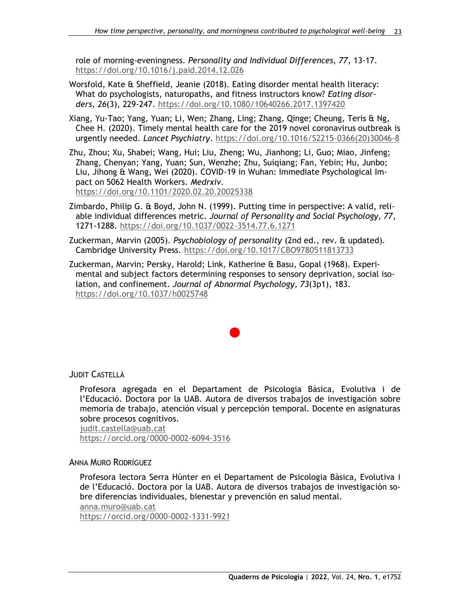role of morning-eveningness. *Personality and Individual Differences, 77*, 13-17. <https://doi.org/10.1016/j.paid.2014.12.026>

- Worsfold, Kate & Sheffield, Jeanie (2018). Eating disorder mental health literacy: What do psychologists, naturopaths, and fitness instructors know? *Eating disorders*, *26*(3), 229-247.<https://doi.org/10.1080/10640266.2017.1397420>
- Xiang, Yu-Tao; Yang, Yuan; Li, Wen; Zhang, Ling; Zhang, Qinge; Cheung, Teris & Ng, Chee H. (2020). Timely mental health care for the 2019 novel coronavirus outbreak is urgently needed. *Lancet Psychiatry*. [https://doi.org/10.1016/S2215-0366\(20\)30046-8](https://doi.org/10.1016/S2215-0366(20)30046-8)
- Zhu, Zhou; Xu, Shabei; Wang, Hui; Liu, Zheng; Wu, Jianhong; Li, Guo; Miao, Jinfeng; Zhang, Chenyan; Yang, Yuan; Sun, Wenzhe; Zhu, Suiqiang; Fan, Yebin; Hu, Junbo; Liu, Jihong & Wang, Wei (2020). COVID-19 in Wuhan: Immediate Psychological Impact on 5062 Health Workers. *Medrxiv*. <https://doi.org/10.1101/2020.02.20.20025338>
- Zimbardo, Philip G. & Boyd, John N. (1999). Putting time in perspective: A valid, reliable individual differences metric. *Journal of Personality and Social Psychology, 77*, 1271-1288.<https://doi.org/10.1037/0022-3514.77.6.1271>
- Zuckerman, Marvin (2005). *Psychobiology of personality* (2nd ed., rev. & updated). Cambridge University Press.<https://doi.org/10.1017/CBO9780511813733>
- Zuckerman, Marvin; Persky, Harold; Link, Katherine & Basu, Gopal (1968). Experimental and subject factors determining responses to sensory deprivation, social isolation, and confinement. *Journal of Abnormal Psychology, 73*(3p1), 183. <https://doi.org/10.1037/h0025748>

JUDIT CASTELLÀ

Profesora agregada en el Departament de Psicologia Bàsica, Evolutiva i de l'Educació. Doctora por la UAB. Autora de diversos trabajos de investigación sobre memoria de trabajo, atención visual y percepción temporal. Docente en asignaturas sobre procesos cognitivos.

[judit.castella@uab.cat](mailto:judit.castella@uab.cat)

<https://orcid.org/0000-0002-6094-3516>

ANNA MURO RODRÍGUEZ

Profesora lectora Serra Húnter en el Departament de Psicologia Bàsica, Evolutiva i de l'Educació. Doctora por la UAB. Autora de diversos trabajos de investigación sobre diferencias individuales, bienestar y prevención en salud mental.

[anna.muro@uab.cat](mailto:anna.muro@uab.cat)

<https://orcid.org/0000-0002-1331-9921>